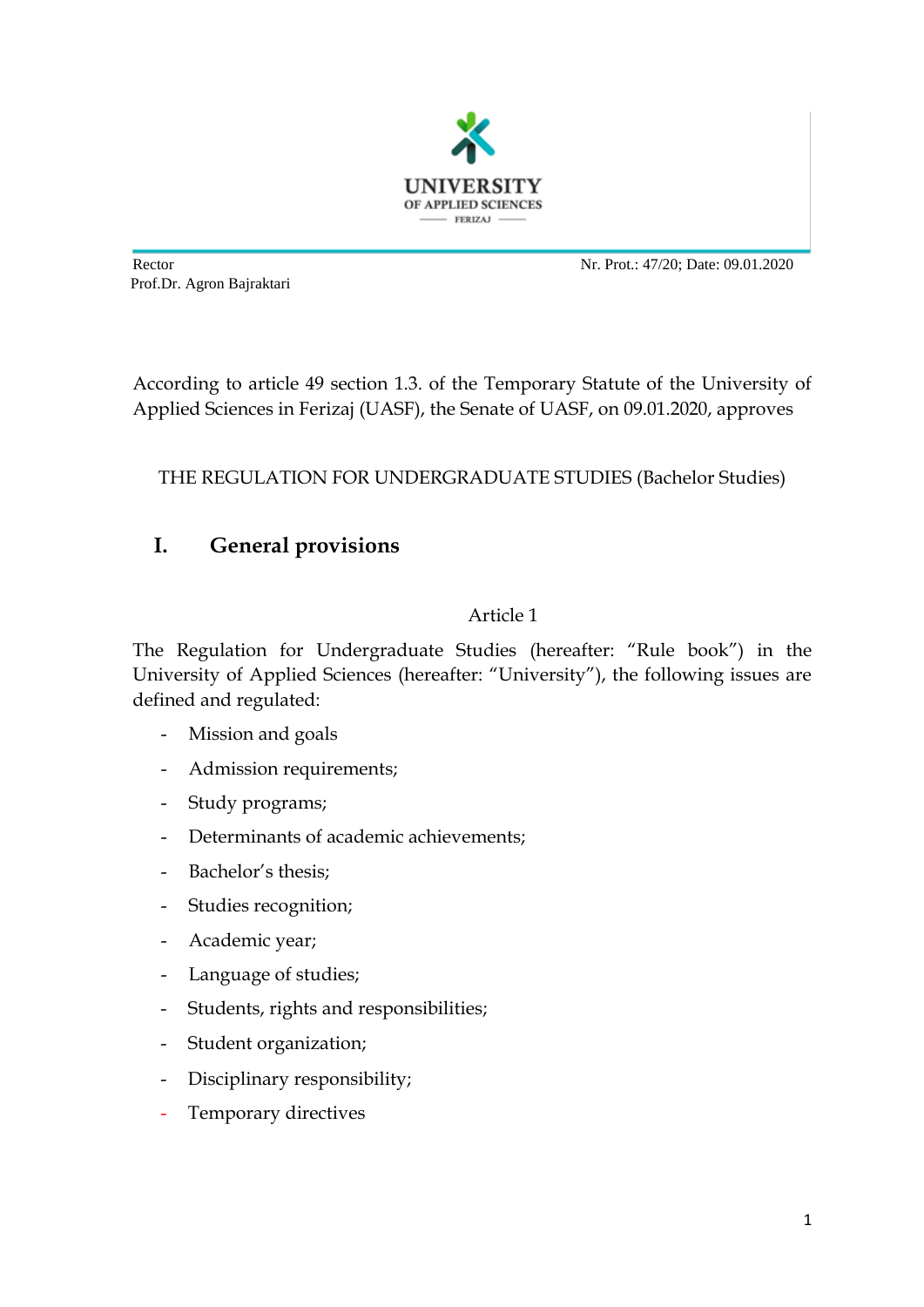

Prof.Dr. Agron Bajraktari

Rector Nr. Prot.: 47/20; Date: 09.01.2020

According to article 49 section 1.3. of the Temporary Statute of the University of Applied Sciences in Ferizaj (UASF), the Senate of UASF, on 09.01.2020, approves

THE REGULATION FOR UNDERGRADUATE STUDIES (Bachelor Studies)

# **I. General provisions**

## Article 1

The Regulation for Undergraduate Studies (hereafter: "Rule book") in the University of Applied Sciences (hereafter: "University"), the following issues are defined and regulated:

- Mission and goals
- Admission requirements;
- Study programs;
- Determinants of academic achievements;
- Bachelor's thesis;
- Studies recognition;
- Academic year;
- Language of studies;
- Students, rights and responsibilities;
- Student organization;
- Disciplinary responsibility;
- Temporary directives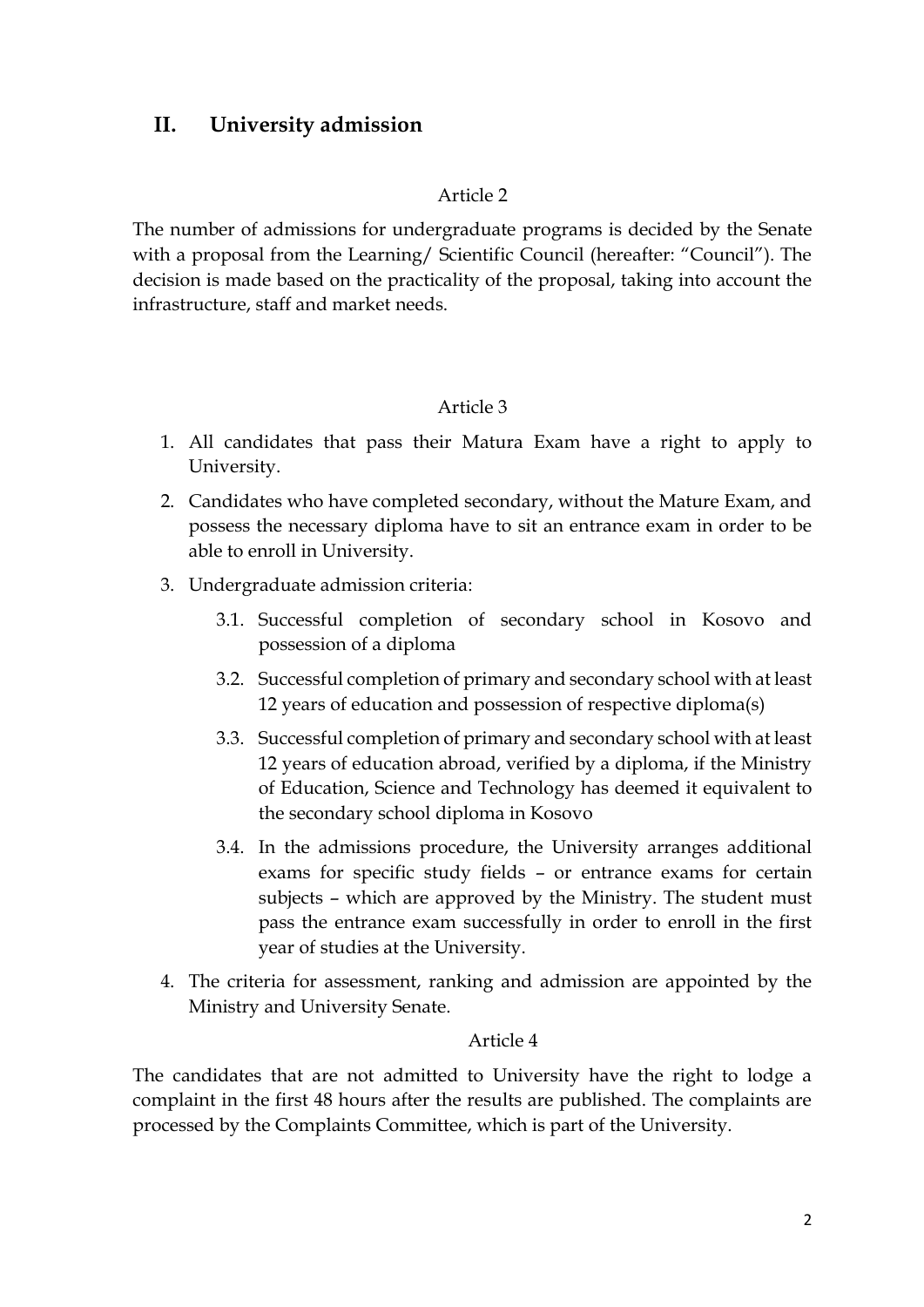# **II. University admission**

#### Article 2

The number of admissions for undergraduate programs is decided by the Senate with a proposal from the Learning/ Scientific Council (hereafter: "Council"). The decision is made based on the practicality of the proposal, taking into account the infrastructure, staff and market needs.

### Article 3

- 1. All candidates that pass their Matura Exam have a right to apply to University.
- 2. Candidates who have completed secondary, without the Mature Exam, and possess the necessary diploma have to sit an entrance exam in order to be able to enroll in University.
- 3. Undergraduate admission criteria:
	- 3.1. Successful completion of secondary school in Kosovo and possession of a diploma
	- 3.2. Successful completion of primary and secondary school with at least 12 years of education and possession of respective diploma(s)
	- 3.3. Successful completion of primary and secondary school with at least 12 years of education abroad, verified by a diploma, if the Ministry of Education, Science and Technology has deemed it equivalent to the secondary school diploma in Kosovo
	- 3.4. In the admissions procedure, the University arranges additional exams for specific study fields – or entrance exams for certain subjects – which are approved by the Ministry. The student must pass the entrance exam successfully in order to enroll in the first year of studies at the University.
- 4. The criteria for assessment, ranking and admission are appointed by the Ministry and University Senate.

#### Article 4

The candidates that are not admitted to University have the right to lodge a complaint in the first 48 hours after the results are published. The complaints are processed by the Complaints Committee, which is part of the University.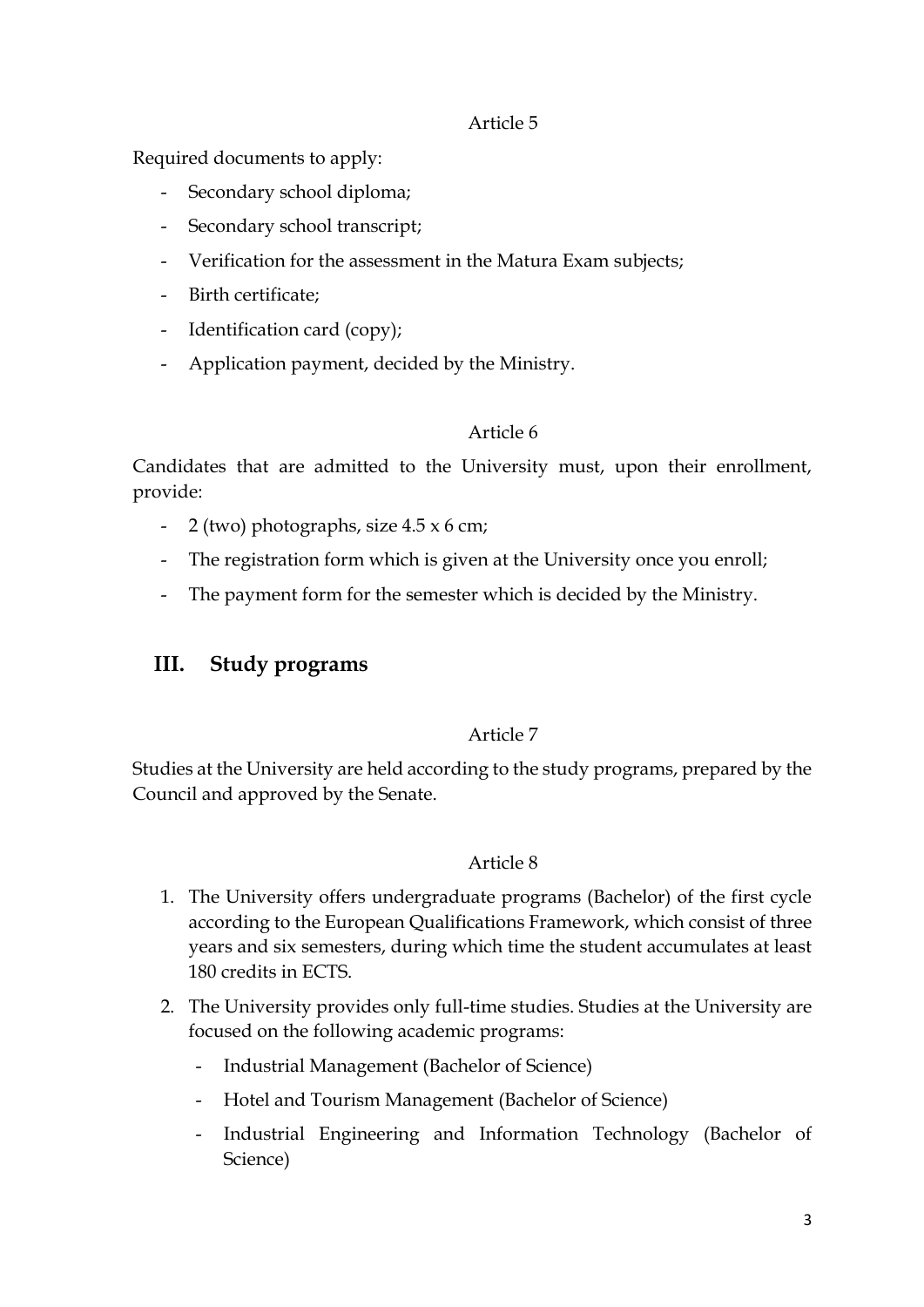Required documents to apply:

- Secondary school diploma;
- Secondary school transcript;
- Verification for the assessment in the Matura Exam subjects;
- Birth certificate;
- Identification card (copy);
- Application payment, decided by the Ministry.

### Article 6

Candidates that are admitted to the University must, upon their enrollment, provide:

- 2 (two) photographs, size 4.5 x 6 cm;
- The registration form which is given at the University once you enroll;
- The payment form for the semester which is decided by the Ministry.

# **III. Study programs**

## Article 7

Studies at the University are held according to the study programs, prepared by the Council and approved by the Senate.

- 1. The University offers undergraduate programs (Bachelor) of the first cycle according to the European Qualifications Framework, which consist of three years and six semesters, during which time the student accumulates at least 180 credits in ECTS.
- 2. The University provides only full-time studies. Studies at the University are focused on the following academic programs:
	- Industrial Management (Bachelor of Science)
	- Hotel and Tourism Management (Bachelor of Science)
	- Industrial Engineering and Information Technology (Bachelor of Science)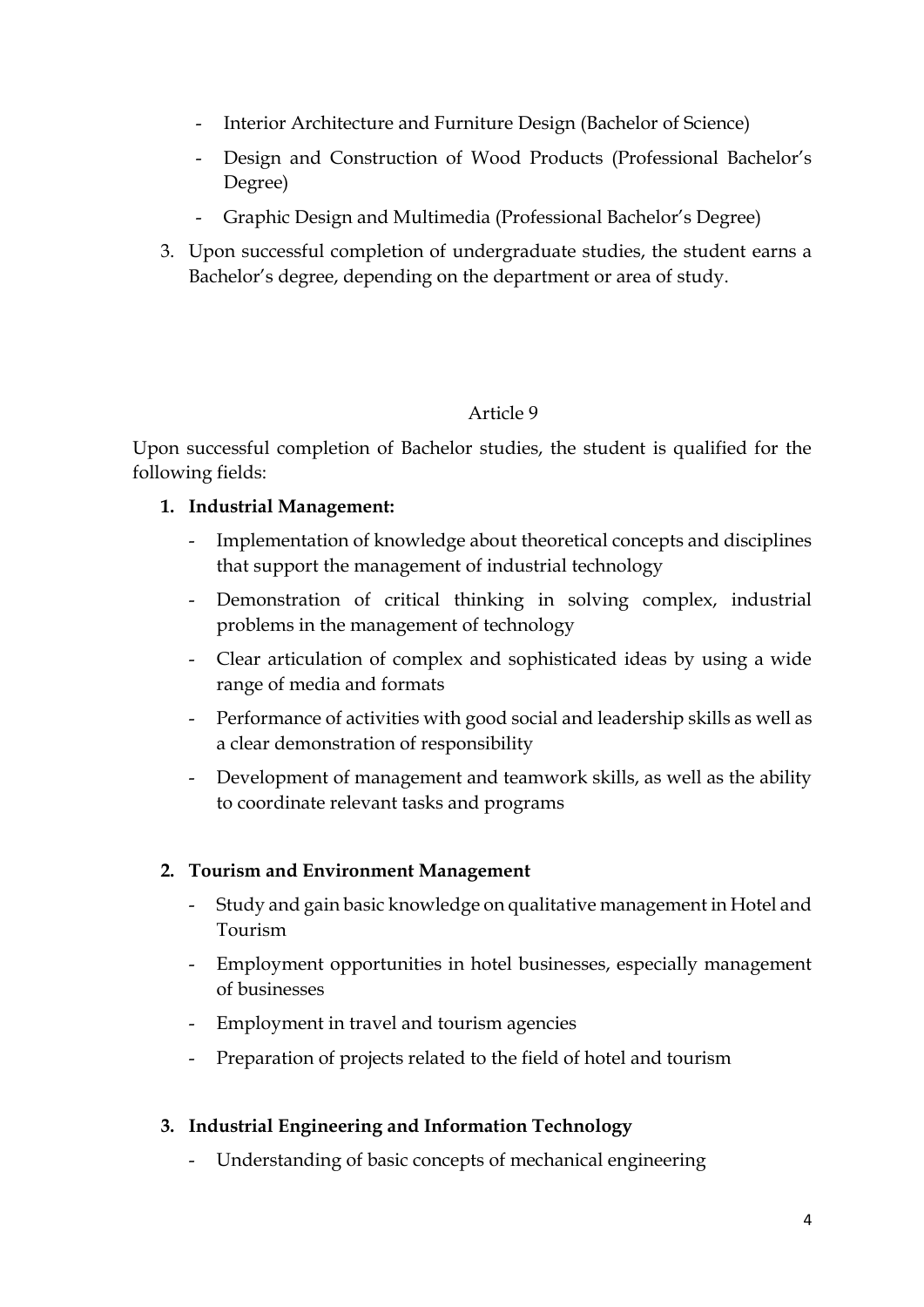- Interior Architecture and Furniture Design (Bachelor of Science)
- Design and Construction of Wood Products (Professional Bachelor's Degree)
- Graphic Design and Multimedia (Professional Bachelor's Degree)
- 3. Upon successful completion of undergraduate studies, the student earns a Bachelor's degree, depending on the department or area of study.

Upon successful completion of Bachelor studies, the student is qualified for the following fields:

## **1. Industrial Management:**

- Implementation of knowledge about theoretical concepts and disciplines that support the management of industrial technology
- Demonstration of critical thinking in solving complex, industrial problems in the management of technology
- Clear articulation of complex and sophisticated ideas by using a wide range of media and formats
- Performance of activities with good social and leadership skills as well as a clear demonstration of responsibility
- Development of management and teamwork skills, as well as the ability to coordinate relevant tasks and programs

# **2. Tourism and Environment Management**

- Study and gain basic knowledge on qualitative management in Hotel and Tourism
- Employment opportunities in hotel businesses, especially management of businesses
- Employment in travel and tourism agencies
- Preparation of projects related to the field of hotel and tourism

## **3. Industrial Engineering and Information Technology**

- Understanding of basic concepts of mechanical engineering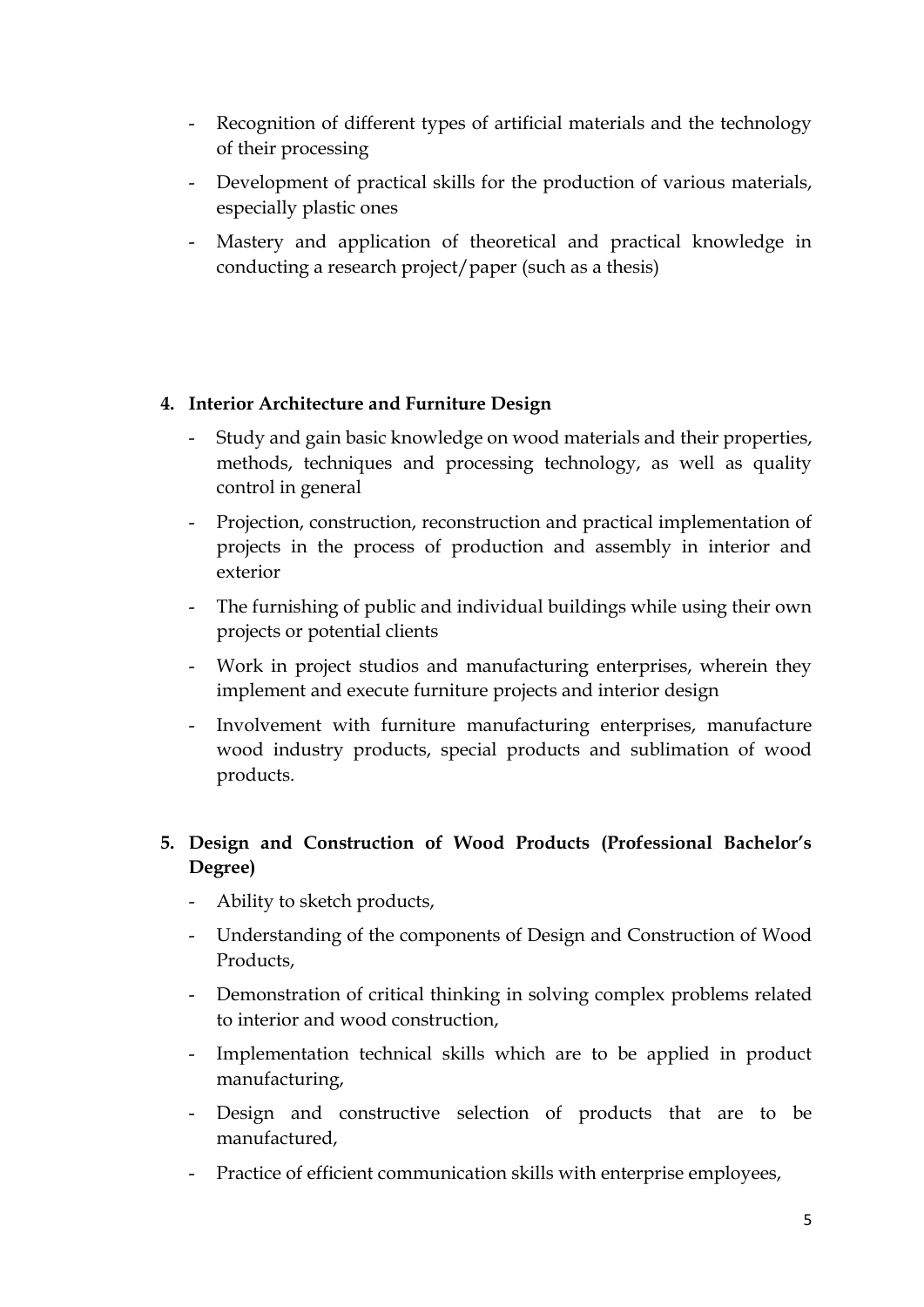- Recognition of different types of artificial materials and the technology of their processing
- Development of practical skills for the production of various materials, especially plastic ones
- Mastery and application of theoretical and practical knowledge in conducting a research project/paper (such as a thesis)

## **4. Interior Architecture and Furniture Design**

- Study and gain basic knowledge on wood materials and their properties, methods, techniques and processing technology, as well as quality control in general
- Projection, construction, reconstruction and practical implementation of projects in the process of production and assembly in interior and exterior
- The furnishing of public and individual buildings while using their own projects or potential clients
- Work in project studios and manufacturing enterprises, wherein they implement and execute furniture projects and interior design
- Involvement with furniture manufacturing enterprises, manufacture wood industry products, special products and sublimation of wood products.

# **5. Design and Construction of Wood Products (Professional Bachelor's Degree)**

- Ability to sketch products,
- Understanding of the components of Design and Construction of Wood Products,
- Demonstration of critical thinking in solving complex problems related to interior and wood construction,
- Implementation technical skills which are to be applied in product manufacturing,
- Design and constructive selection of products that are to be manufactured,
- Practice of efficient communication skills with enterprise employees,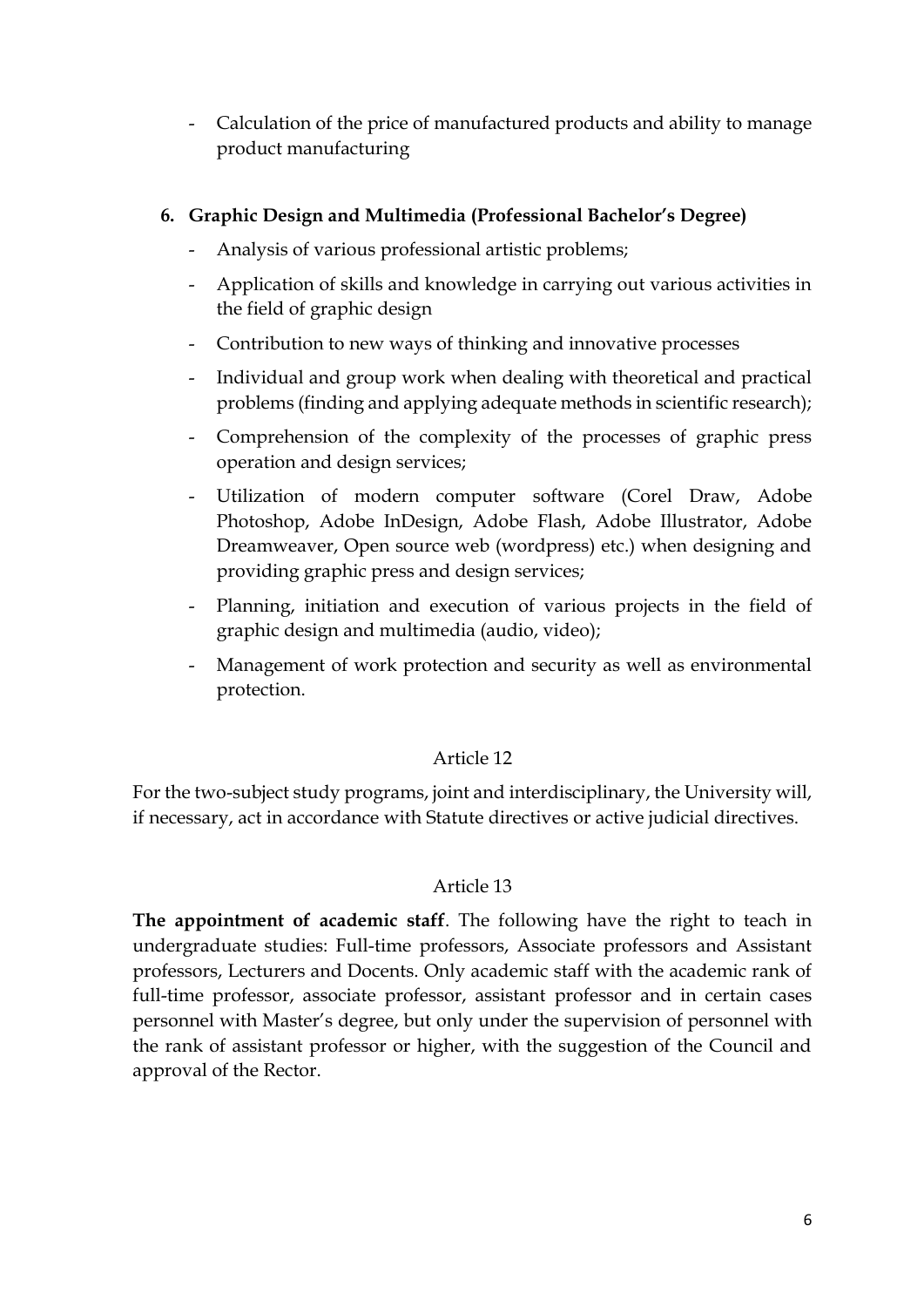- Calculation of the price of manufactured products and ability to manage product manufacturing

## **6. Graphic Design and Multimedia (Professional Bachelor's Degree)**

- Analysis of various professional artistic problems;
- Application of skills and knowledge in carrying out various activities in the field of graphic design
- Contribution to new ways of thinking and innovative processes
- Individual and group work when dealing with theoretical and practical problems (finding and applying adequate methods in scientific research);
- Comprehension of the complexity of the processes of graphic press operation and design services;
- Utilization of modern computer software (Corel Draw, Adobe Photoshop, Adobe InDesign, Adobe Flash, Adobe Illustrator, Adobe Dreamweaver, Open source web (wordpress) etc.) when designing and providing graphic press and design services;
- Planning, initiation and execution of various projects in the field of graphic design and multimedia (audio, video);
- Management of work protection and security as well as environmental protection.

#### Article 12

For the two-subject study programs, joint and interdisciplinary, the University will, if necessary, act in accordance with Statute directives or active judicial directives.

## Article 13

**The appointment of academic staff**. The following have the right to teach in undergraduate studies: Full-time professors, Associate professors and Assistant professors, Lecturers and Docents. Only academic staff with the academic rank of full-time professor, associate professor, assistant professor and in certain cases personnel with Master's degree, but only under the supervision of personnel with the rank of assistant professor or higher, with the suggestion of the Council and approval of the Rector.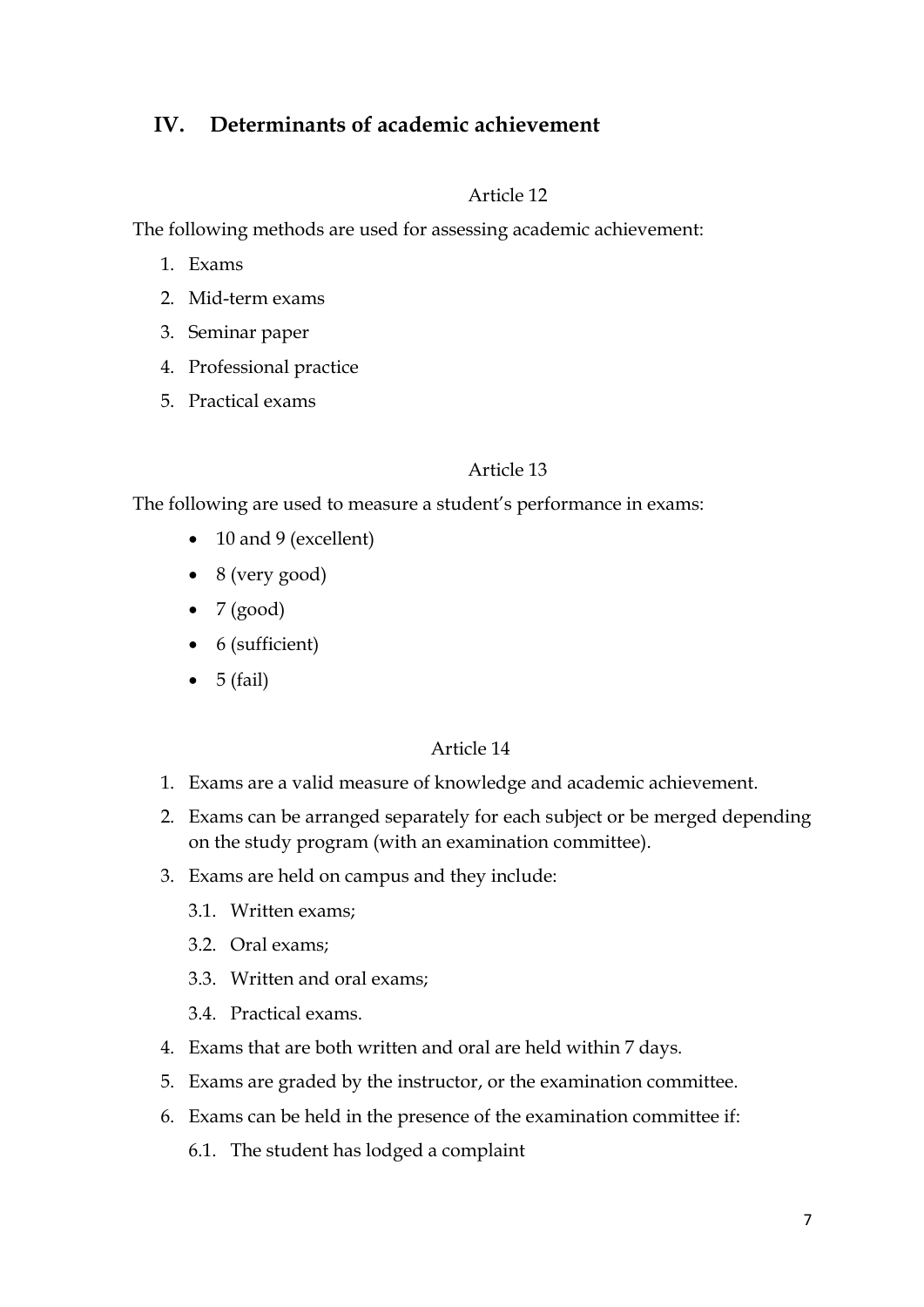# **IV. Determinants of academic achievement**

#### Article 12

The following methods are used for assessing academic achievement:

- 1. Exams
- 2. Mid-term exams
- 3. Seminar paper
- 4. Professional practice
- 5. Practical exams

### Article 13

The following are used to measure a student's performance in exams:

- 10 and 9 (excellent)
- $\bullet$  8 (very good)
- $\bullet$  7 (good)
- 6 (sufficient)
- $\bullet$  5 (fail)

- 1. Exams are a valid measure of knowledge and academic achievement.
- 2. Exams can be arranged separately for each subject or be merged depending on the study program (with an examination committee).
- 3. Exams are held on campus and they include:
	- 3.1. Written exams;
	- 3.2. Oral exams;
	- 3.3. Written and oral exams;
	- 3.4. Practical exams.
- 4. Exams that are both written and oral are held within 7 days.
- 5. Exams are graded by the instructor, or the examination committee.
- 6. Exams can be held in the presence of the examination committee if:
	- 6.1. The student has lodged a complaint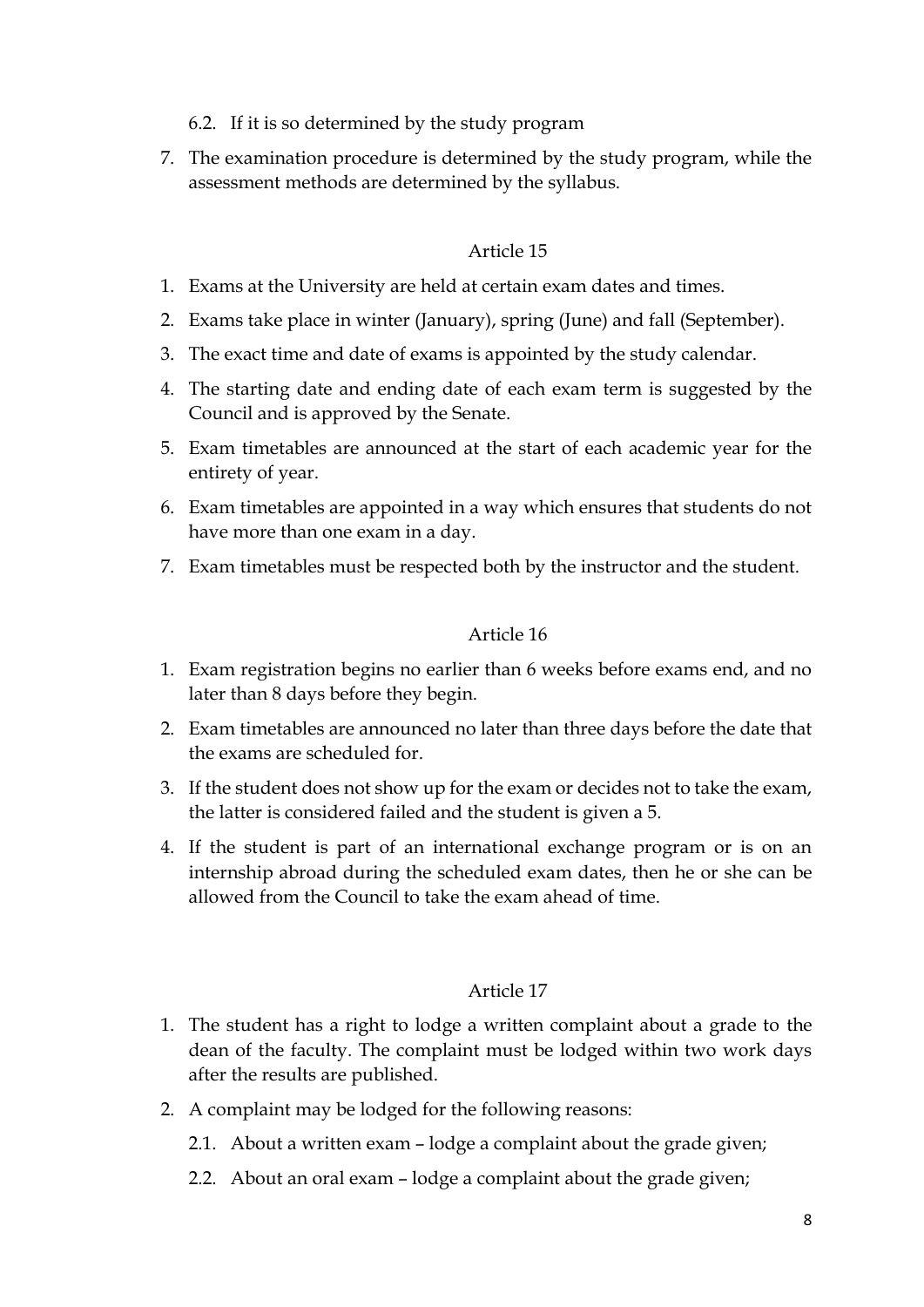- 6.2. If it is so determined by the study program
- 7. The examination procedure is determined by the study program, while the assessment methods are determined by the syllabus.

- 1. Exams at the University are held at certain exam dates and times.
- 2. Exams take place in winter (January), spring (June) and fall (September).
- 3. The exact time and date of exams is appointed by the study calendar.
- 4. The starting date and ending date of each exam term is suggested by the Council and is approved by the Senate.
- 5. Exam timetables are announced at the start of each academic year for the entirety of year.
- 6. Exam timetables are appointed in a way which ensures that students do not have more than one exam in a day.
- 7. Exam timetables must be respected both by the instructor and the student.

### Article 16

- 1. Exam registration begins no earlier than 6 weeks before exams end, and no later than 8 days before they begin.
- 2. Exam timetables are announced no later than three days before the date that the exams are scheduled for.
- 3. If the student does not show up for the exam or decides not to take the exam, the latter is considered failed and the student is given a 5.
- 4. If the student is part of an international exchange program or is on an internship abroad during the scheduled exam dates, then he or she can be allowed from the Council to take the exam ahead of time.

- 1. The student has a right to lodge a written complaint about a grade to the dean of the faculty. The complaint must be lodged within two work days after the results are published.
- 2. A complaint may be lodged for the following reasons:
	- 2.1. About a written exam lodge a complaint about the grade given;
	- 2.2. About an oral exam lodge a complaint about the grade given;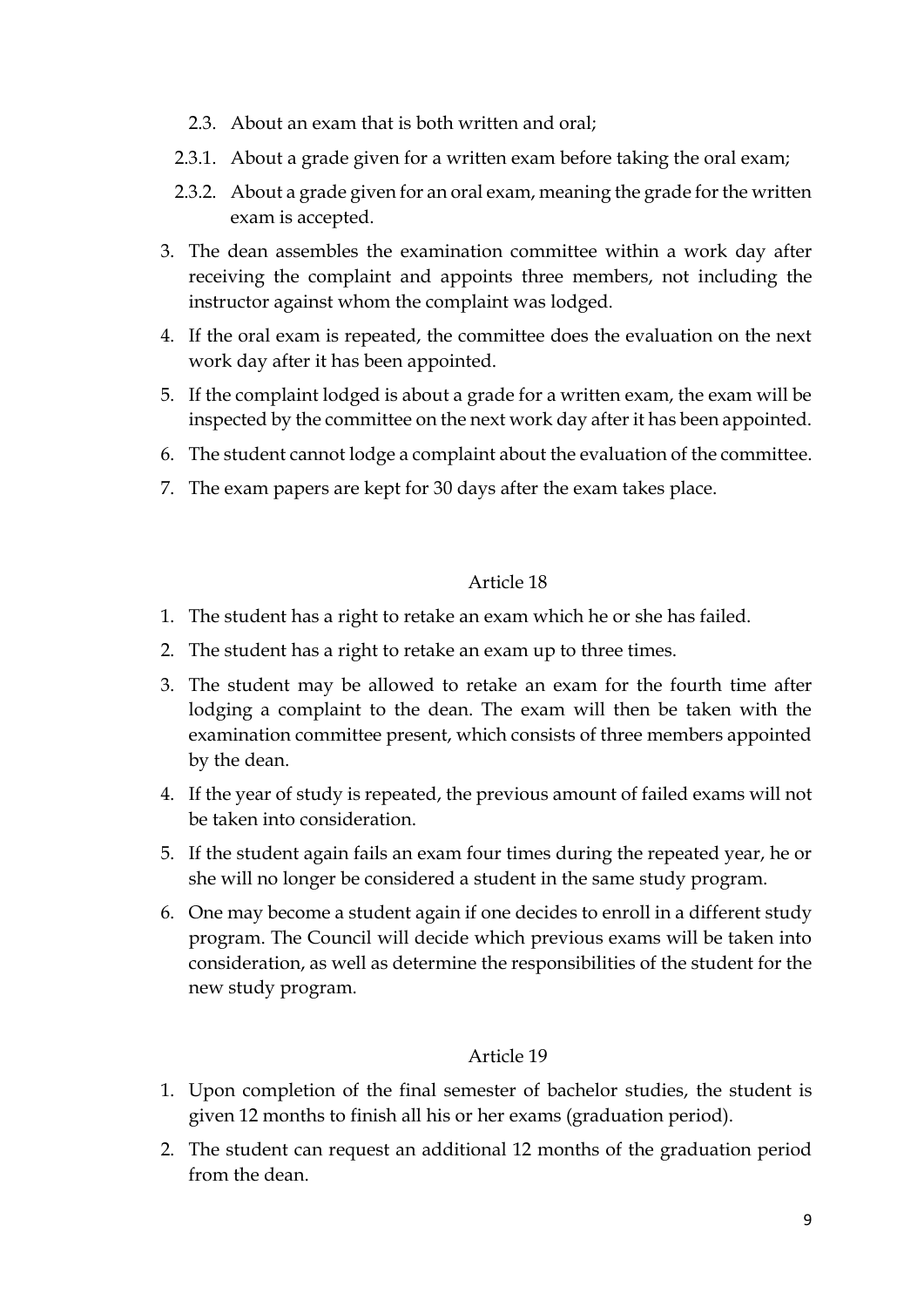- 2.3. About an exam that is both written and oral;
- 2.3.1. About a grade given for a written exam before taking the oral exam;
- 2.3.2. About a grade given for an oral exam, meaning the grade for the written exam is accepted.
- 3. The dean assembles the examination committee within a work day after receiving the complaint and appoints three members, not including the instructor against whom the complaint was lodged.
- 4. If the oral exam is repeated, the committee does the evaluation on the next work day after it has been appointed.
- 5. If the complaint lodged is about a grade for a written exam, the exam will be inspected by the committee on the next work day after it has been appointed.
- 6. The student cannot lodge a complaint about the evaluation of the committee.
- 7. The exam papers are kept for 30 days after the exam takes place.

- 1. The student has a right to retake an exam which he or she has failed.
- 2. The student has a right to retake an exam up to three times.
- 3. The student may be allowed to retake an exam for the fourth time after lodging a complaint to the dean. The exam will then be taken with the examination committee present, which consists of three members appointed by the dean.
- 4. If the year of study is repeated, the previous amount of failed exams will not be taken into consideration.
- 5. If the student again fails an exam four times during the repeated year, he or she will no longer be considered a student in the same study program.
- 6. One may become a student again if one decides to enroll in a different study program. The Council will decide which previous exams will be taken into consideration, as well as determine the responsibilities of the student for the new study program.

- 1. Upon completion of the final semester of bachelor studies, the student is given 12 months to finish all his or her exams (graduation period).
- 2. The student can request an additional 12 months of the graduation period from the dean.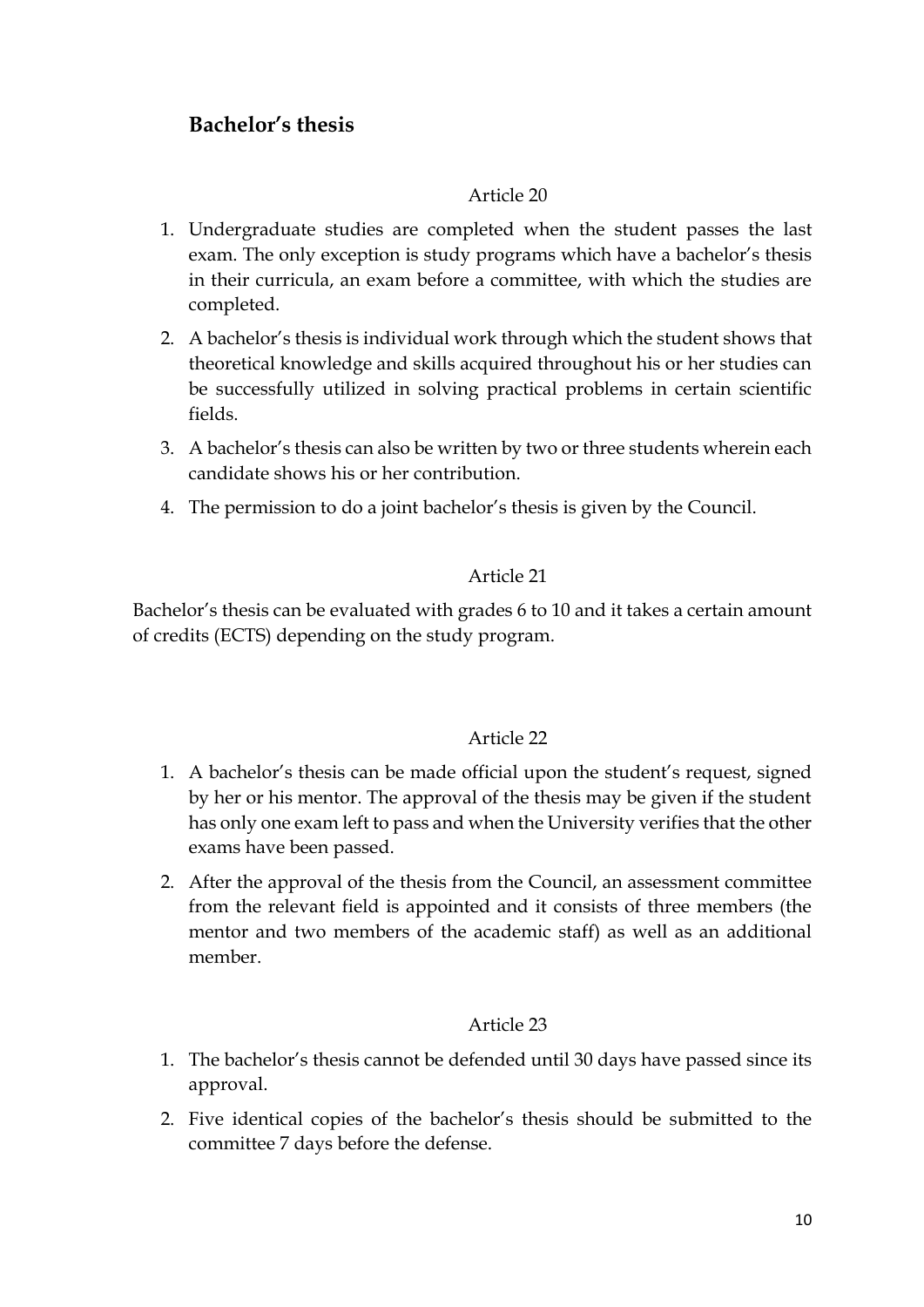# **Bachelor's thesis**

## Article 20

- 1. Undergraduate studies are completed when the student passes the last exam. The only exception is study programs which have a bachelor's thesis in their curricula, an exam before a committee, with which the studies are completed.
- 2. A bachelor's thesis is individual work through which the student shows that theoretical knowledge and skills acquired throughout his or her studies can be successfully utilized in solving practical problems in certain scientific fields.
- 3. A bachelor's thesis can also be written by two or three students wherein each candidate shows his or her contribution.
- 4. The permission to do a joint bachelor's thesis is given by the Council.

## Article 21

Bachelor's thesis can be evaluated with grades 6 to 10 and it takes a certain amount of credits (ECTS) depending on the study program.

## Article 22

- 1. A bachelor's thesis can be made official upon the student's request, signed by her or his mentor. The approval of the thesis may be given if the student has only one exam left to pass and when the University verifies that the other exams have been passed.
- 2. After the approval of the thesis from the Council, an assessment committee from the relevant field is appointed and it consists of three members (the mentor and two members of the academic staff) as well as an additional member.

- 1. The bachelor's thesis cannot be defended until 30 days have passed since its approval.
- 2. Five identical copies of the bachelor's thesis should be submitted to the committee 7 days before the defense.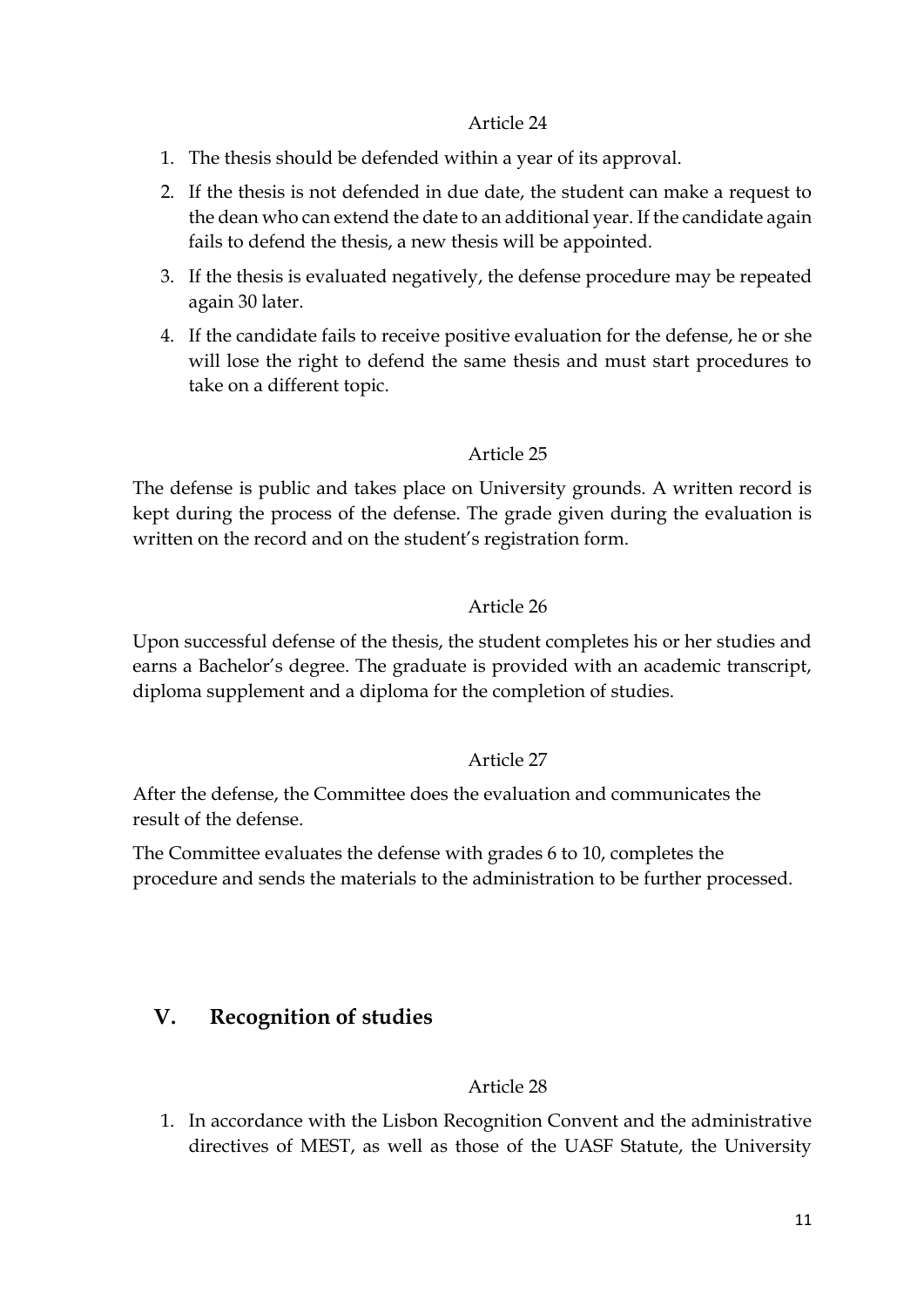- 1. The thesis should be defended within a year of its approval.
- 2. If the thesis is not defended in due date, the student can make a request to the dean who can extend the date to an additional year. If the candidate again fails to defend the thesis, a new thesis will be appointed.
- 3. If the thesis is evaluated negatively, the defense procedure may be repeated again 30 later.
- 4. If the candidate fails to receive positive evaluation for the defense, he or she will lose the right to defend the same thesis and must start procedures to take on a different topic.

## Article 25

The defense is public and takes place on University grounds. A written record is kept during the process of the defense. The grade given during the evaluation is written on the record and on the student's registration form.

### Article 26

Upon successful defense of the thesis, the student completes his or her studies and earns a Bachelor's degree. The graduate is provided with an academic transcript, diploma supplement and a diploma for the completion of studies.

## Article 27

After the defense, the Committee does the evaluation and communicates the result of the defense.

The Committee evaluates the defense with grades 6 to 10, completes the procedure and sends the materials to the administration to be further processed.

# **V. Recognition of studies**

#### Article 28

1. In accordance with the Lisbon Recognition Convent and the administrative directives of MEST, as well as those of the UASF Statute, the University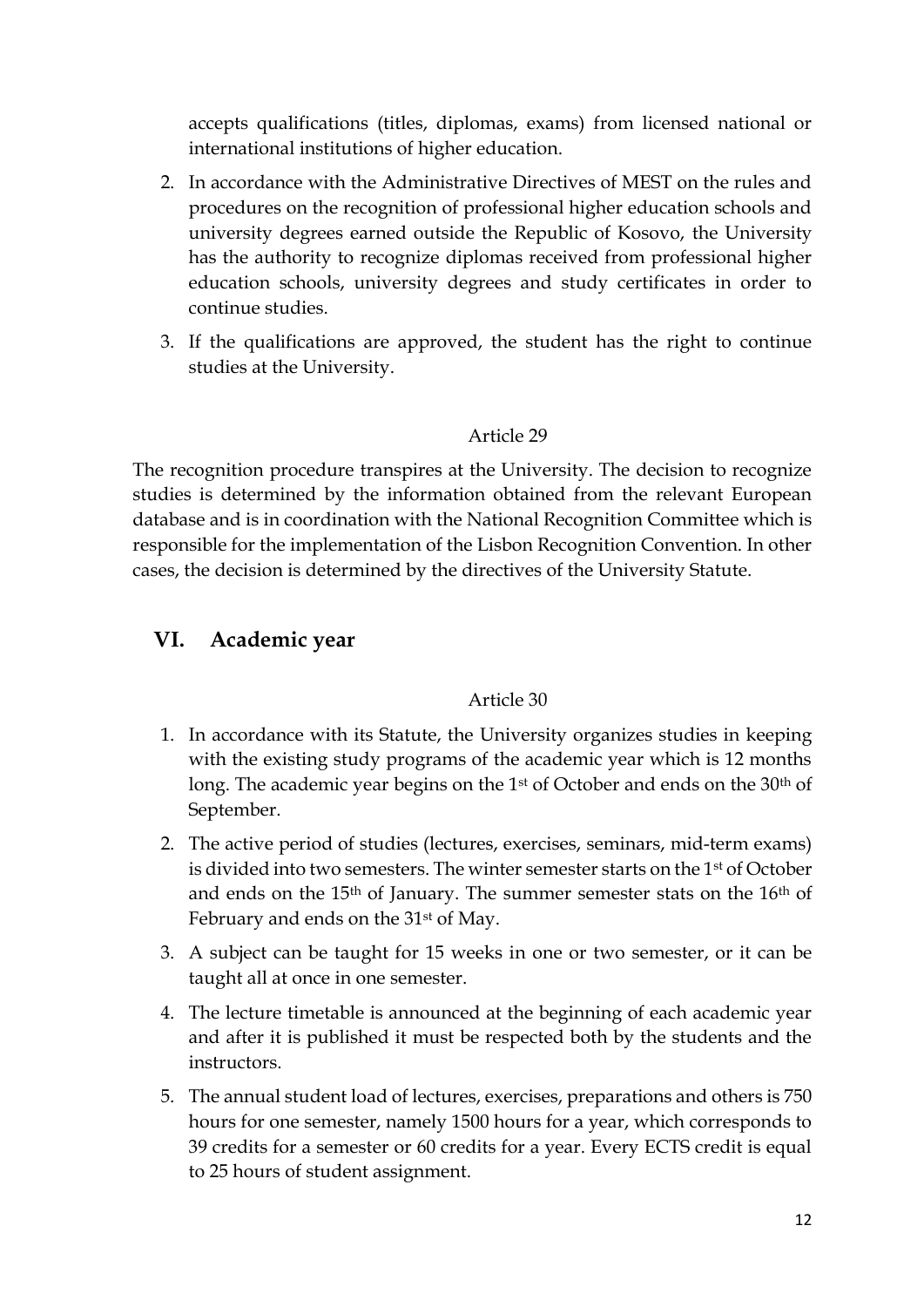accepts qualifications (titles, diplomas, exams) from licensed national or international institutions of higher education.

- 2. In accordance with the Administrative Directives of MEST on the rules and procedures on the recognition of professional higher education schools and university degrees earned outside the Republic of Kosovo, the University has the authority to recognize diplomas received from professional higher education schools, university degrees and study certificates in order to continue studies.
- 3. If the qualifications are approved, the student has the right to continue studies at the University.

## Article 29

The recognition procedure transpires at the University. The decision to recognize studies is determined by the information obtained from the relevant European database and is in coordination with the National Recognition Committee which is responsible for the implementation of the Lisbon Recognition Convention. In other cases, the decision is determined by the directives of the University Statute.

# **VI. Academic year**

- 1. In accordance with its Statute, the University organizes studies in keeping with the existing study programs of the academic year which is 12 months long. The academic year begins on the 1<sup>st</sup> of October and ends on the 30<sup>th</sup> of September.
- 2. The active period of studies (lectures, exercises, seminars, mid-term exams) is divided into two semesters. The winter semester starts on the 1st of October and ends on the 15th of January. The summer semester stats on the 16th of February and ends on the 31<sup>st</sup> of May.
- 3. A subject can be taught for 15 weeks in one or two semester, or it can be taught all at once in one semester.
- 4. The lecture timetable is announced at the beginning of each academic year and after it is published it must be respected both by the students and the instructors.
- 5. The annual student load of lectures, exercises, preparations and others is 750 hours for one semester, namely 1500 hours for a year, which corresponds to 39 credits for a semester or 60 credits for a year. Every ECTS credit is equal to 25 hours of student assignment.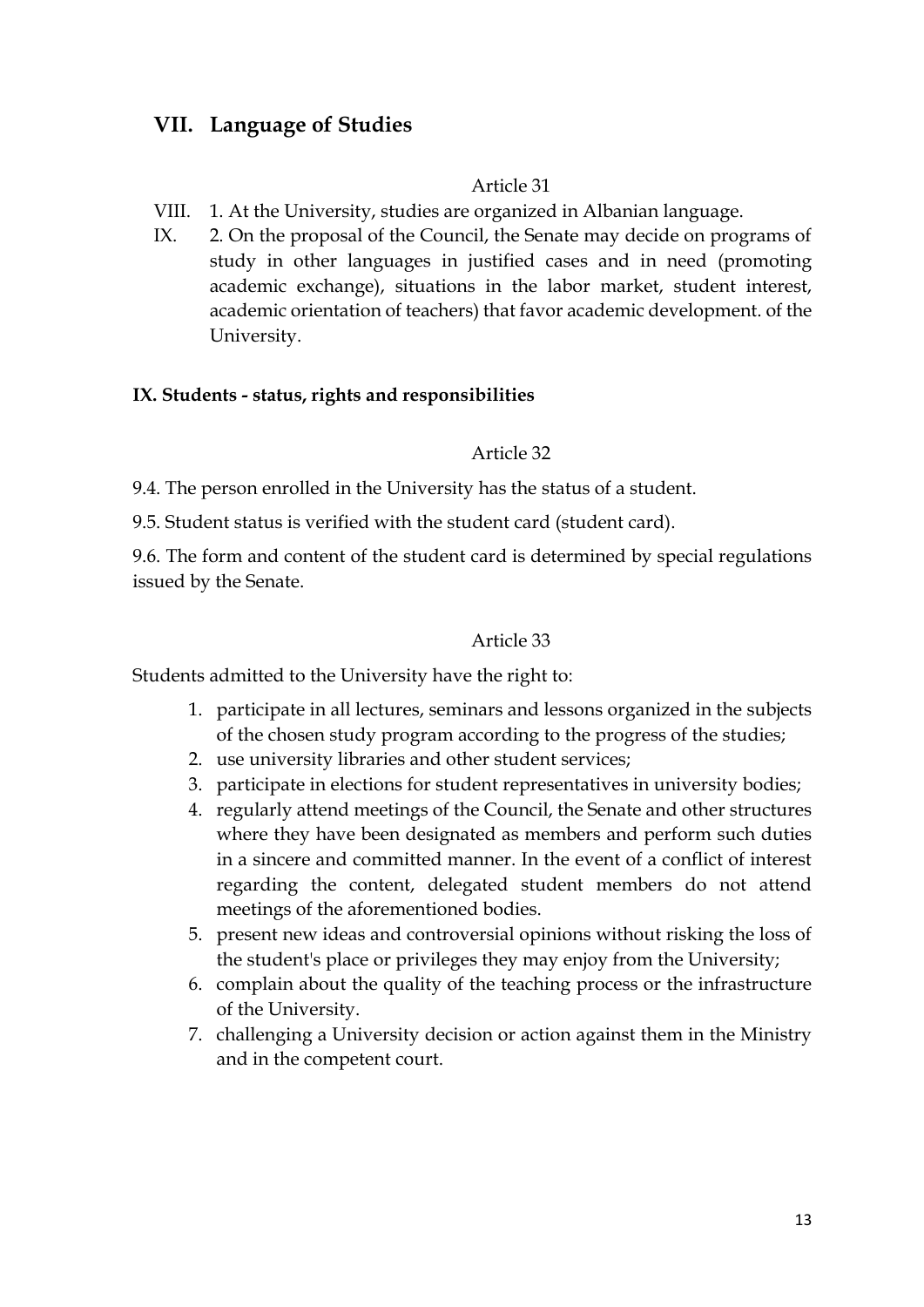# **VII. Language of Studies**

#### Article 31

- VIII. 1. At the University, studies are organized in Albanian language.
- IX. 2. On the proposal of the Council, the Senate may decide on programs of study in other languages in justified cases and in need (promoting academic exchange), situations in the labor market, student interest, academic orientation of teachers) that favor academic development. of the University.

#### **IX. Students - status, rights and responsibilities**

#### Article 32

9.4. The person enrolled in the University has the status of a student.

9.5. Student status is verified with the student card (student card).

9.6. The form and content of the student card is determined by special regulations issued by the Senate.

#### Article 33

Students admitted to the University have the right to:

- 1. participate in all lectures, seminars and lessons organized in the subjects of the chosen study program according to the progress of the studies;
- 2. use university libraries and other student services;
- 3. participate in elections for student representatives in university bodies;
- 4. regularly attend meetings of the Council, the Senate and other structures where they have been designated as members and perform such duties in a sincere and committed manner. In the event of a conflict of interest regarding the content, delegated student members do not attend meetings of the aforementioned bodies.
- 5. present new ideas and controversial opinions without risking the loss of the student's place or privileges they may enjoy from the University;
- 6. complain about the quality of the teaching process or the infrastructure of the University.
- 7. challenging a University decision or action against them in the Ministry and in the competent court.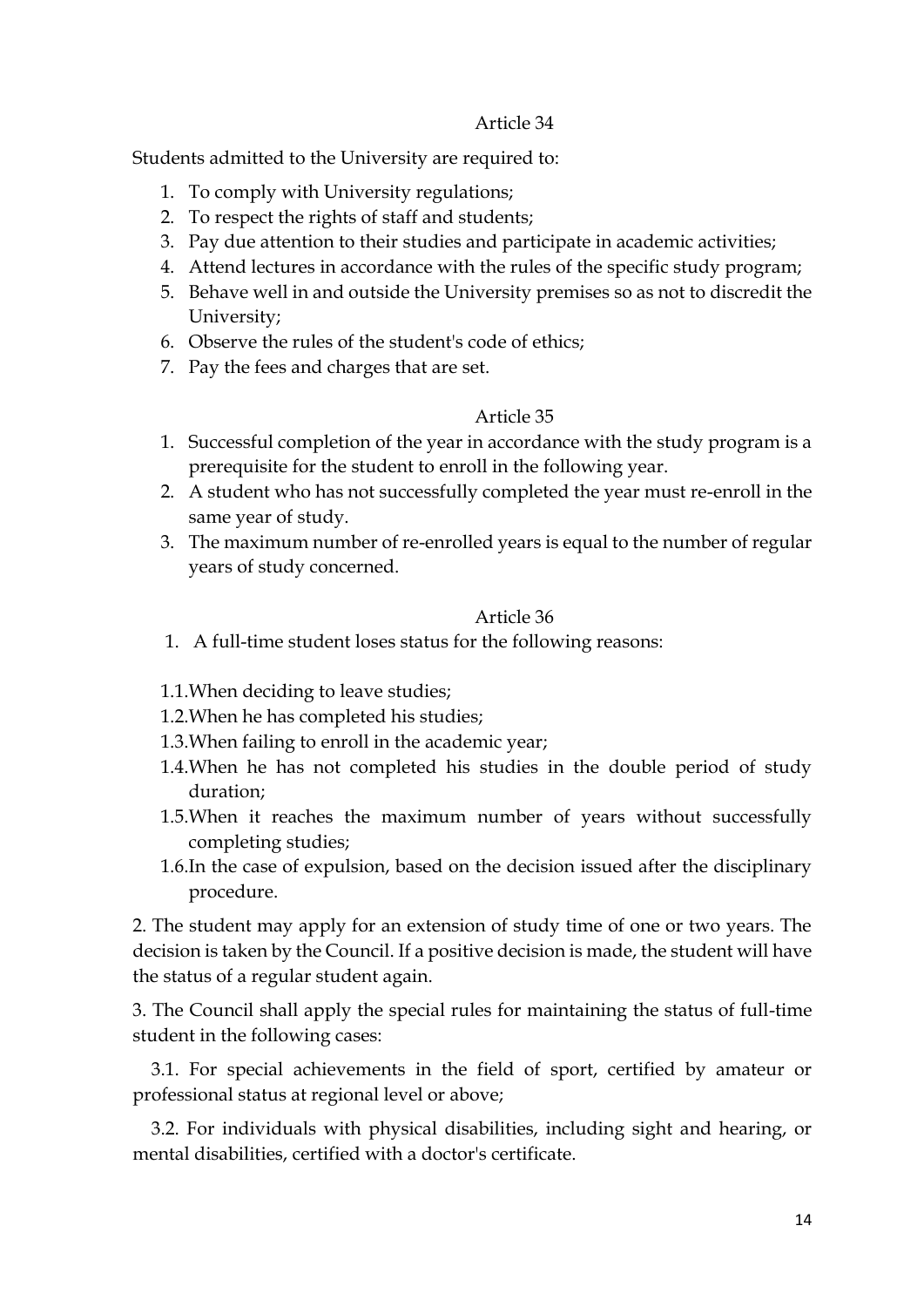Students admitted to the University are required to:

- 1. To comply with University regulations;
- 2. To respect the rights of staff and students;
- 3. Pay due attention to their studies and participate in academic activities;
- 4. Attend lectures in accordance with the rules of the specific study program;
- 5. Behave well in and outside the University premises so as not to discredit the University;
- 6. Observe the rules of the student's code of ethics;
- 7. Pay the fees and charges that are set.

#### Article 35

- 1. Successful completion of the year in accordance with the study program is a prerequisite for the student to enroll in the following year.
- 2. A student who has not successfully completed the year must re-enroll in the same year of study.
- 3. The maximum number of re-enrolled years is equal to the number of regular years of study concerned.

#### Article 36

- 1. A full-time student loses status for the following reasons:
- 1.1.When deciding to leave studies;
- 1.2.When he has completed his studies;
- 1.3.When failing to enroll in the academic year;
- 1.4.When he has not completed his studies in the double period of study duration;
- 1.5.When it reaches the maximum number of years without successfully completing studies;
- 1.6.In the case of expulsion, based on the decision issued after the disciplinary procedure.

2. The student may apply for an extension of study time of one or two years. The decision is taken by the Council. If a positive decision is made, the student will have the status of a regular student again.

3. The Council shall apply the special rules for maintaining the status of full-time student in the following cases:

 3.1. For special achievements in the field of sport, certified by amateur or professional status at regional level or above;

 3.2. For individuals with physical disabilities, including sight and hearing, or mental disabilities, certified with a doctor's certificate.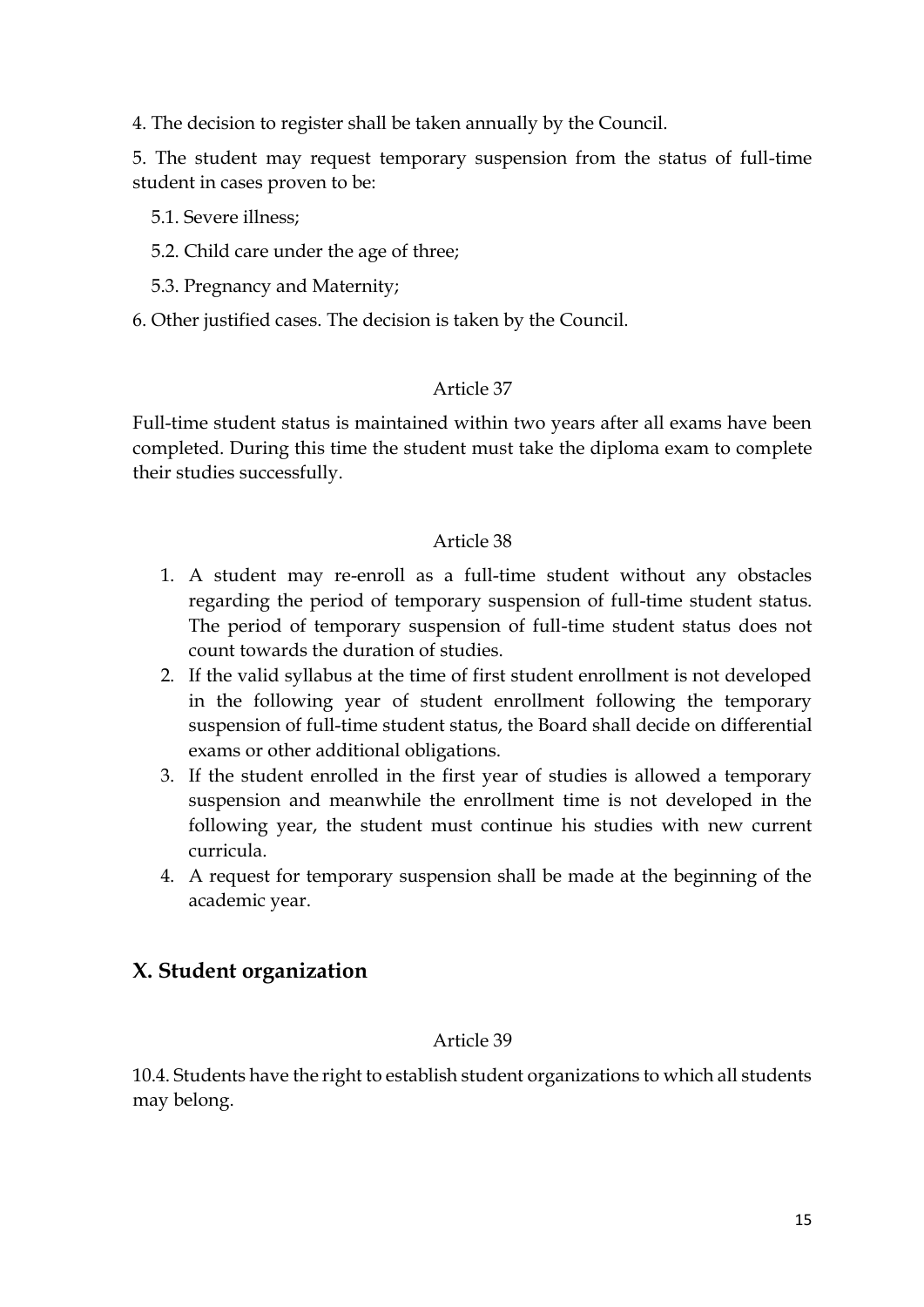4. The decision to register shall be taken annually by the Council.

5. The student may request temporary suspension from the status of full-time student in cases proven to be:

- 5.1. Severe illness;
- 5.2. Child care under the age of three;
- 5.3. Pregnancy and Maternity;
- 6. Other justified cases. The decision is taken by the Council.

### Article 37

Full-time student status is maintained within two years after all exams have been completed. During this time the student must take the diploma exam to complete their studies successfully.

#### Article 38

- 1. A student may re-enroll as a full-time student without any obstacles regarding the period of temporary suspension of full-time student status. The period of temporary suspension of full-time student status does not count towards the duration of studies.
- 2. If the valid syllabus at the time of first student enrollment is not developed in the following year of student enrollment following the temporary suspension of full-time student status, the Board shall decide on differential exams or other additional obligations.
- 3. If the student enrolled in the first year of studies is allowed a temporary suspension and meanwhile the enrollment time is not developed in the following year, the student must continue his studies with new current curricula.
- 4. A request for temporary suspension shall be made at the beginning of the academic year.

# **X. Student organization**

#### Article 39

10.4. Students have the right to establish student organizations to which all students may belong.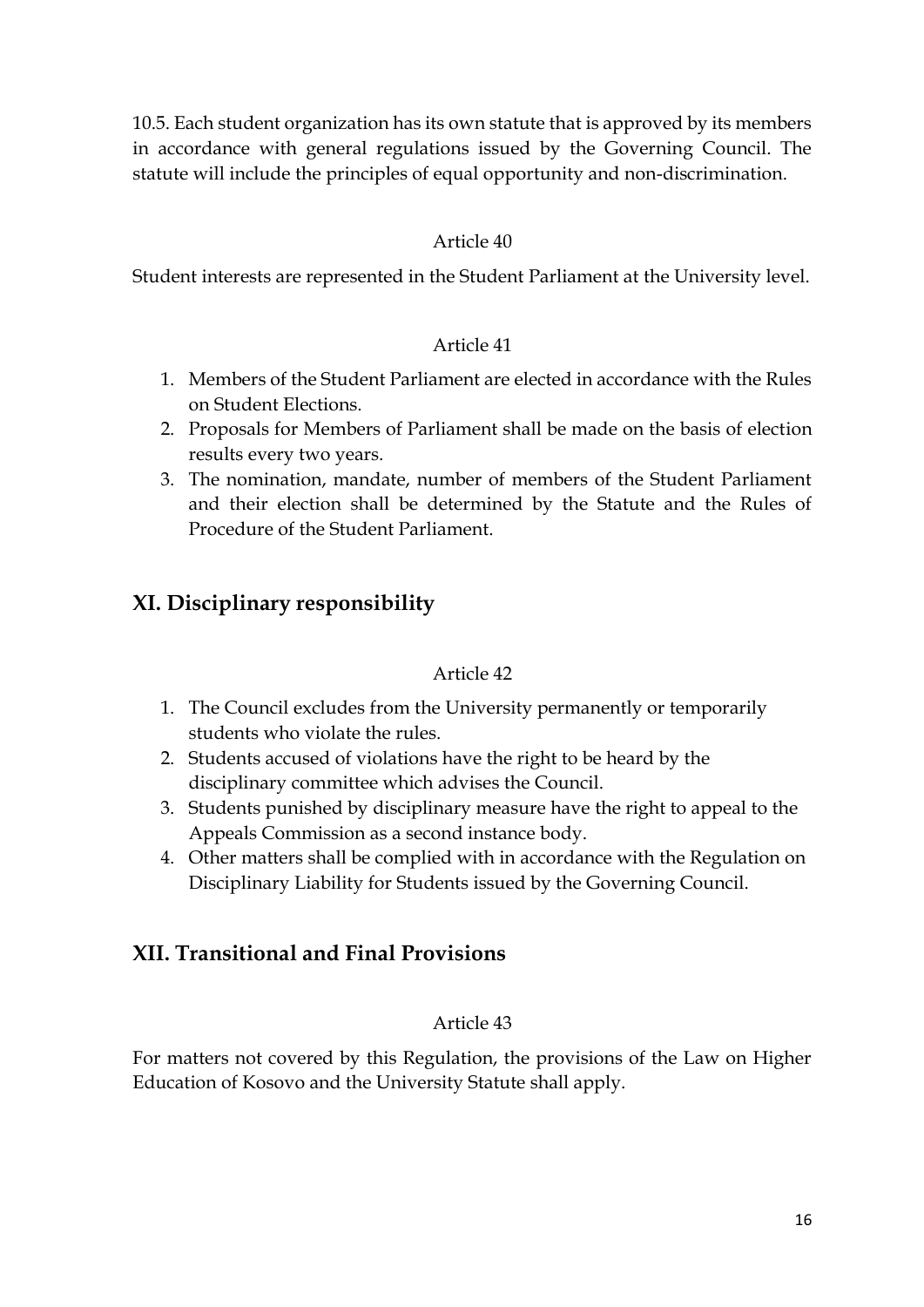10.5. Each student organization has its own statute that is approved by its members in accordance with general regulations issued by the Governing Council. The statute will include the principles of equal opportunity and non-discrimination.

## Article 40

Student interests are represented in the Student Parliament at the University level.

#### Article 41

- 1. Members of the Student Parliament are elected in accordance with the Rules on Student Elections.
- 2. Proposals for Members of Parliament shall be made on the basis of election results every two years.
- 3. The nomination, mandate, number of members of the Student Parliament and their election shall be determined by the Statute and the Rules of Procedure of the Student Parliament.

# **XI. Disciplinary responsibility**

#### Article 42

- 1. The Council excludes from the University permanently or temporarily students who violate the rules.
- 2. Students accused of violations have the right to be heard by the disciplinary committee which advises the Council.
- 3. Students punished by disciplinary measure have the right to appeal to the Appeals Commission as a second instance body.
- 4. Other matters shall be complied with in accordance with the Regulation on Disciplinary Liability for Students issued by the Governing Council.

# **XII. Transitional and Final Provisions**

## Article 43

For matters not covered by this Regulation, the provisions of the Law on Higher Education of Kosovo and the University Statute shall apply.